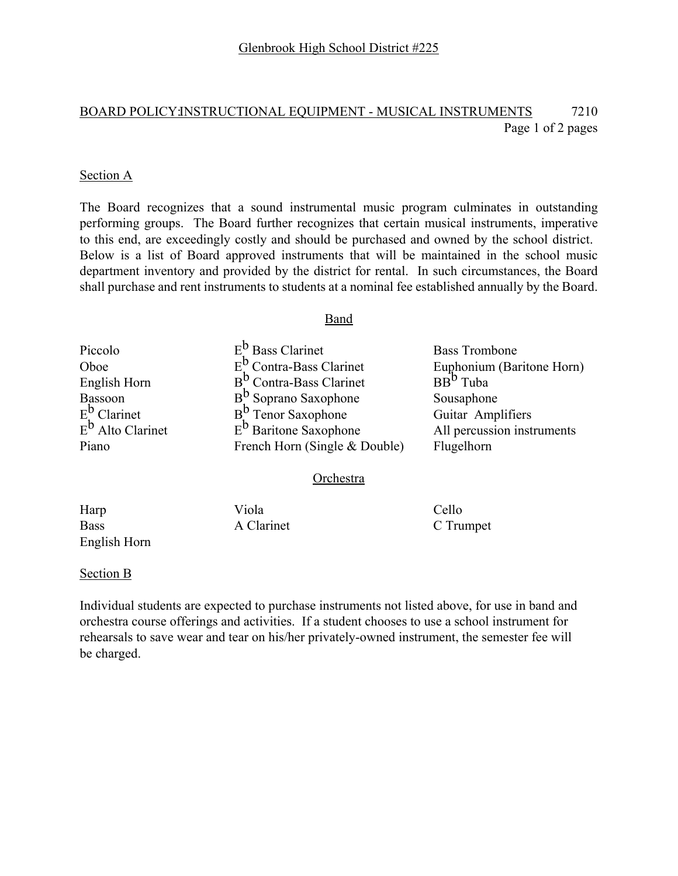## BOARD POLICY:INSTRUCTIONAL EQUIPMENT - MUSICAL INSTRUMENTS 7210 Page 1 of 2 pages

#### Section A

The Board recognizes that a sound instrumental music program culminates in outstanding performing groups. The Board further recognizes that certain musical instruments, imperative to this end, are exceedingly costly and should be purchased and owned by the school district. Below is a list of Board approved instruments that will be maintained in the school music department inventory and provided by the district for rental. In such circumstances, the Board shall purchase and rent instruments to students at a nominal fee established annually by the Board.

#### Band

| Piccolo                      | $E^b$ Bass Clarinet                 | <b>Bass Trombone</b>       |
|------------------------------|-------------------------------------|----------------------------|
| Oboe                         | $E_1^b$ Contra-Bass Clarinet        | Euphonium (Baritone Horn)  |
| English Horn                 | B <sup>D</sup> Contra-Bass Clarinet | BB <sup>b</sup> Tuba       |
| Bassoon                      | $B^b$ Soprano Saxophone             | Sousaphone                 |
| $E^{\mathsf{b}}$ Clarinet    | $Bb$ Tenor Saxophone                | Guitar Amplifiers          |
| E <sup>b</sup> Alto Clarinet | $E^b$ Baritone Saxophone            | All percussion instruments |
| Piano                        | French Horn (Single & Double)       | Flugelhorn                 |
|                              |                                     |                            |

#### Orchestra

Harp Viola Cello Bass A Clarinet C Trumpet English Horn

#### Section B

Individual students are expected to purchase instruments not listed above, for use in band and orchestra course offerings and activities. If a student chooses to use a school instrument for rehearsals to save wear and tear on his/her privately-owned instrument, the semester fee will be charged.